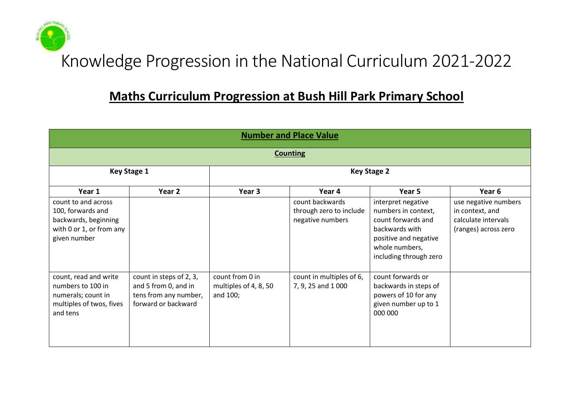# Knowledge Progression in the National Curriculum 2021-2022

# **Maths Curriculum Progression at Bush Hill Park Primary School**

|                                                                                                              | <b>Number and Place Value</b>                                                                   |                                                      |                                                                |                                                                                                                                                        |                                                                                        |  |  |  |  |
|--------------------------------------------------------------------------------------------------------------|-------------------------------------------------------------------------------------------------|------------------------------------------------------|----------------------------------------------------------------|--------------------------------------------------------------------------------------------------------------------------------------------------------|----------------------------------------------------------------------------------------|--|--|--|--|
|                                                                                                              | <b>Counting</b>                                                                                 |                                                      |                                                                |                                                                                                                                                        |                                                                                        |  |  |  |  |
|                                                                                                              | <b>Key Stage 1</b>                                                                              |                                                      |                                                                | <b>Key Stage 2</b>                                                                                                                                     |                                                                                        |  |  |  |  |
| Year 1                                                                                                       | Year 2                                                                                          | Year 3                                               | Year 4                                                         | Year 5                                                                                                                                                 | Year 6                                                                                 |  |  |  |  |
| count to and across<br>100, forwards and<br>backwards, beginning<br>with 0 or 1, or from any<br>given number |                                                                                                 |                                                      | count backwards<br>through zero to include<br>negative numbers | interpret negative<br>numbers in context,<br>count forwards and<br>backwards with<br>positive and negative<br>whole numbers,<br>including through zero | use negative numbers<br>in context, and<br>calculate intervals<br>(ranges) across zero |  |  |  |  |
| count, read and write<br>numbers to 100 in<br>numerals; count in<br>multiples of twos, fives<br>and tens     | count in steps of 2, 3,<br>and 5 from 0, and in<br>tens from any number,<br>forward or backward | count from 0 in<br>multiples of 4, 8, 50<br>and 100; | count in multiples of 6,<br>7, 9, 25 and 1 000                 | count forwards or<br>backwards in steps of<br>powers of 10 for any<br>given number up to 1<br>000 000                                                  |                                                                                        |  |  |  |  |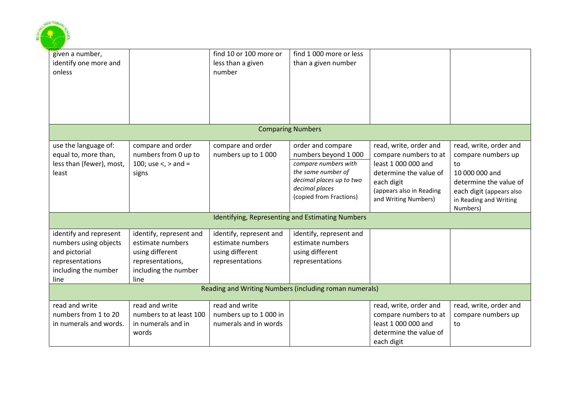

| given a number,<br>identify one more and<br>onless                                                                  |                                                                                                                    | find 10 or 100 more or<br>less than a given<br>number                             | find 1 000 more or less<br>than a given number                                                                                                                   |                                                                                                                                                                    |                                                                                                                                                                  |  |  |  |
|---------------------------------------------------------------------------------------------------------------------|--------------------------------------------------------------------------------------------------------------------|-----------------------------------------------------------------------------------|------------------------------------------------------------------------------------------------------------------------------------------------------------------|--------------------------------------------------------------------------------------------------------------------------------------------------------------------|------------------------------------------------------------------------------------------------------------------------------------------------------------------|--|--|--|
|                                                                                                                     |                                                                                                                    |                                                                                   | <b>Comparing Numbers</b>                                                                                                                                         |                                                                                                                                                                    |                                                                                                                                                                  |  |  |  |
| use the language of:<br>equal to, more than,<br>less than (fewer), most,<br>least                                   | compare and order<br>numbers from 0 up to<br>100; use <, > and =<br>signs                                          | compare and order<br>numbers up to 1000                                           | order and compare<br>numbers beyond 1 000<br>compare numbers with<br>the same number of<br>decimal places up to two<br>decimal places<br>(copied from Fractions) | read, write, order and<br>compare numbers to at<br>least 1 000 000 and<br>determine the value of<br>each digit<br>(appears also in Reading<br>and Writing Numbers) | read, write, order and<br>compare numbers up<br>to<br>10 000 000 and<br>determine the value of<br>each digit (appears also<br>in Reading and Writing<br>Numbers) |  |  |  |
|                                                                                                                     |                                                                                                                    |                                                                                   | Identifying, Representing and Estimating Numbers                                                                                                                 |                                                                                                                                                                    |                                                                                                                                                                  |  |  |  |
| identify and represent<br>numbers using objects<br>and pictorial<br>representations<br>including the number<br>line | identify, represent and<br>estimate numbers<br>using different<br>representations,<br>including the number<br>line | identify, represent and<br>estimate numbers<br>using different<br>representations | identify, represent and<br>estimate numbers<br>using different<br>representations                                                                                |                                                                                                                                                                    |                                                                                                                                                                  |  |  |  |
|                                                                                                                     | Reading and Writing Numbers (including roman numerals)                                                             |                                                                                   |                                                                                                                                                                  |                                                                                                                                                                    |                                                                                                                                                                  |  |  |  |
| read and write<br>numbers from 1 to 20<br>in numerals and words.                                                    | read and write<br>numbers to at least 100<br>in numerals and in<br>words                                           | read and write<br>numbers up to 1 000 in<br>numerals and in words                 |                                                                                                                                                                  | read, write, order and<br>compare numbers to at<br>least 1 000 000 and<br>determine the value of<br>each digit                                                     | read, write, order and<br>compare numbers up<br>to                                                                                                               |  |  |  |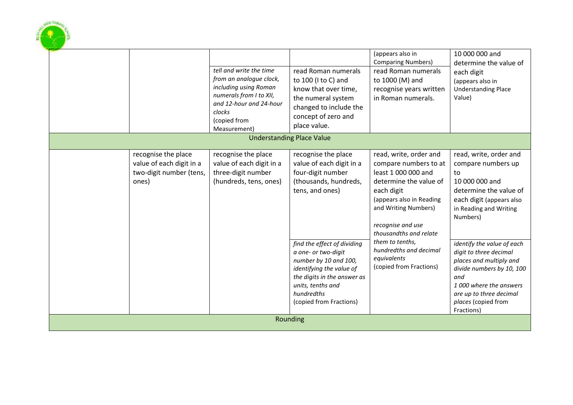

*identifying the value of the digits in the answer as* 

(copied from Fractions)

*units, tenths and hundredths* 

Rounding

10 000 000 and

each digit (appears also in Understanding Place

Value)

to

determine the value of

read, write, order and compare numbers up

determine the value of each digit (appears also in Reading and Writing

*identify the value of each digit to three decimal places and multiply and divide numbers by 10, 100* 

*1 000 where the answers are up to three decimal places* (copied from

10 000 000 and

Numbers)

*and*

Fractions)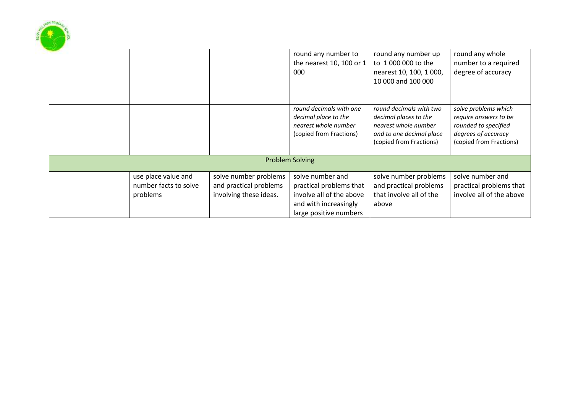|  |                       |                        | round any number to                             | round any number up                                 | round any whole                                |
|--|-----------------------|------------------------|-------------------------------------------------|-----------------------------------------------------|------------------------------------------------|
|  |                       |                        | the nearest 10, 100 or 1<br>000                 | to 1 000 000 to the<br>nearest 10, 100, 1000,       | number to a required<br>degree of accuracy     |
|  |                       |                        |                                                 | 10 000 and 100 000                                  |                                                |
|  |                       |                        |                                                 |                                                     |                                                |
|  |                       |                        | round decimals with one<br>decimal place to the | round decimals with two<br>decimal places to the    | solve problems which<br>require answers to be  |
|  |                       |                        | nearest whole number                            | nearest whole number                                | rounded to specified                           |
|  |                       |                        | (copied from Fractions)                         | and to one decimal place<br>(copied from Fractions) | degrees of accuracy<br>(copied from Fractions) |
|  |                       |                        |                                                 |                                                     |                                                |
|  |                       |                        | <b>Problem Solving</b>                          |                                                     |                                                |
|  | use place value and   | solve number problems  | solve number and                                | solve number problems                               | solve number and                               |
|  | number facts to solve | and practical problems | practical problems that                         | and practical problems                              | practical problems that                        |
|  | problems              | involving these ideas. | involve all of the above                        | that involve all of the                             | involve all of the above                       |
|  |                       |                        | and with increasingly                           | above                                               |                                                |
|  |                       |                        | large positive numbers                          |                                                     |                                                |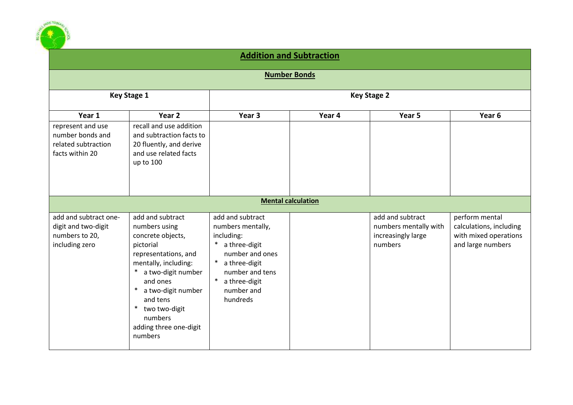

#### **Addition and Subtraction**

**Number Bonds**

|                       | <b>Key Stage 1</b>             | <b>Key Stage 2</b>               |                           |                       |                         |  |
|-----------------------|--------------------------------|----------------------------------|---------------------------|-----------------------|-------------------------|--|
| Year 1                | Year 2                         | Year 3                           | Year 4                    | Year 5                | Year 6                  |  |
| represent and use     | recall and use addition        |                                  |                           |                       |                         |  |
| number bonds and      | and subtraction facts to       |                                  |                           |                       |                         |  |
| related subtraction   | 20 fluently, and derive        |                                  |                           |                       |                         |  |
| facts within 20       | and use related facts          |                                  |                           |                       |                         |  |
|                       | up to 100                      |                                  |                           |                       |                         |  |
|                       |                                |                                  |                           |                       |                         |  |
|                       |                                |                                  |                           |                       |                         |  |
|                       |                                |                                  | <b>Mental calculation</b> |                       |                         |  |
|                       |                                |                                  |                           |                       |                         |  |
| add and subtract one- | add and subtract               | add and subtract                 |                           | add and subtract      | perform mental          |  |
| digit and two-digit   | numbers using                  | numbers mentally,                |                           | numbers mentally with | calculations, including |  |
| numbers to 20,        | concrete objects,              | including:                       |                           | increasingly large    | with mixed operations   |  |
| including zero        | pictorial                      | a three-digit<br>$\ast$          |                           | numbers               | and large numbers       |  |
|                       | representations, and           | number and ones<br>$\ast$        |                           |                       |                         |  |
|                       | mentally, including:<br>$\ast$ | a three-digit<br>number and tens |                           |                       |                         |  |
|                       | a two-digit number<br>and ones | $\ast$<br>a three-digit          |                           |                       |                         |  |
|                       | a two-digit number<br>$\ast$   | number and                       |                           |                       |                         |  |
|                       | and tens                       | hundreds                         |                           |                       |                         |  |
|                       | $\ast$<br>two two-digit        |                                  |                           |                       |                         |  |
|                       | numbers                        |                                  |                           |                       |                         |  |
|                       | adding three one-digit         |                                  |                           |                       |                         |  |
|                       | numbers                        |                                  |                           |                       |                         |  |
|                       |                                |                                  |                           |                       |                         |  |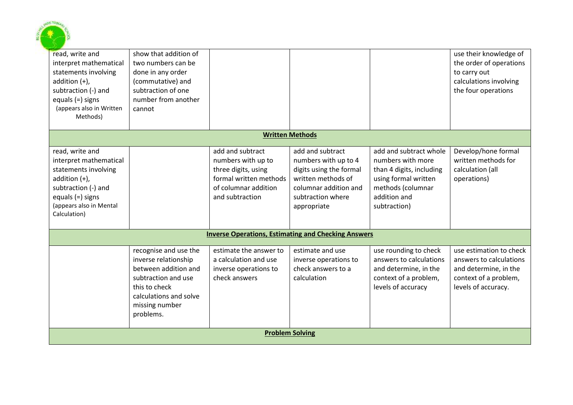

| read, write and<br>interpret mathematical<br>statements involving<br>addition $(+)$ ,<br>subtraction (-) and<br>equals (=) signs<br>(appears also in Written<br>Methods)      | show that addition of<br>two numbers can be<br>done in any order<br>(commutative) and<br>subtraction of one<br>number from another<br>cannot                           |                                                                                                                                    |                                                                                                                                                        |                                                                                                                                                      | use their knowledge of<br>the order of operations<br>to carry out<br>calculations involving<br>the four operations          |
|-------------------------------------------------------------------------------------------------------------------------------------------------------------------------------|------------------------------------------------------------------------------------------------------------------------------------------------------------------------|------------------------------------------------------------------------------------------------------------------------------------|--------------------------------------------------------------------------------------------------------------------------------------------------------|------------------------------------------------------------------------------------------------------------------------------------------------------|-----------------------------------------------------------------------------------------------------------------------------|
|                                                                                                                                                                               |                                                                                                                                                                        |                                                                                                                                    | <b>Written Methods</b>                                                                                                                                 |                                                                                                                                                      |                                                                                                                             |
| read, write and<br>interpret mathematical<br>statements involving<br>addition $(+)$ ,<br>subtraction (-) and<br>equals $(=)$ signs<br>(appears also in Mental<br>Calculation) |                                                                                                                                                                        | add and subtract<br>numbers with up to<br>three digits, using<br>formal written methods<br>of columnar addition<br>and subtraction | add and subtract<br>numbers with up to 4<br>digits using the formal<br>written methods of<br>columnar addition and<br>subtraction where<br>appropriate | add and subtract whole<br>numbers with more<br>than 4 digits, including<br>using formal written<br>methods (columnar<br>addition and<br>subtraction) | Develop/hone formal<br>written methods for<br>calculation (all<br>operations)                                               |
|                                                                                                                                                                               |                                                                                                                                                                        | <b>Inverse Operations, Estimating and Checking Answers</b>                                                                         |                                                                                                                                                        |                                                                                                                                                      |                                                                                                                             |
|                                                                                                                                                                               | recognise and use the<br>inverse relationship<br>between addition and<br>subtraction and use<br>this to check<br>calculations and solve<br>missing number<br>problems. | estimate the answer to<br>a calculation and use<br>inverse operations to<br>check answers                                          | estimate and use<br>inverse operations to<br>check answers to a<br>calculation                                                                         | use rounding to check<br>answers to calculations<br>and determine, in the<br>context of a problem,<br>levels of accuracy                             | use estimation to check<br>answers to calculations<br>and determine, in the<br>context of a problem,<br>levels of accuracy. |
|                                                                                                                                                                               |                                                                                                                                                                        |                                                                                                                                    | <b>Problem Solving</b>                                                                                                                                 |                                                                                                                                                      |                                                                                                                             |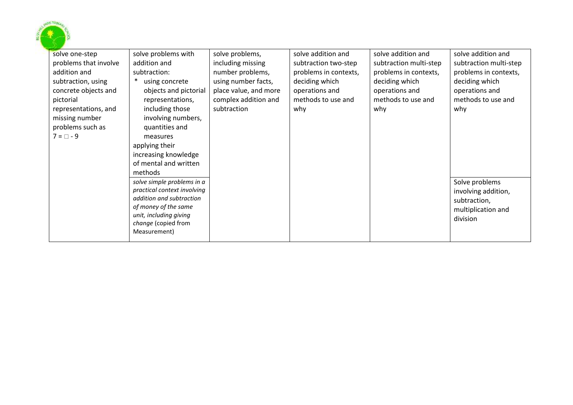

| solve one-step        | solve problems with                           | solve problems,       | solve addition and    | solve addition and     | solve addition and     |
|-----------------------|-----------------------------------------------|-----------------------|-----------------------|------------------------|------------------------|
| problems that involve | addition and                                  | including missing     | subtraction two-step  | subtraction multi-step | subtraction multi-step |
| addition and          | subtraction:                                  | number problems,      | problems in contexts, | problems in contexts,  | problems in contexts,  |
| subtraction, using    | using concrete                                | using number facts,   | deciding which        | deciding which         | deciding which         |
| concrete objects and  | objects and pictorial                         | place value, and more | operations and        | operations and         | operations and         |
| pictorial             | representations,                              | complex addition and  | methods to use and    | methods to use and     | methods to use and     |
| representations, and  | including those                               | subtraction           | why                   | why                    | why                    |
| missing number        | involving numbers,                            |                       |                       |                        |                        |
| problems such as      | quantities and                                |                       |                       |                        |                        |
| $7 = \Box - 9$        | measures                                      |                       |                       |                        |                        |
|                       | applying their                                |                       |                       |                        |                        |
|                       | increasing knowledge                          |                       |                       |                        |                        |
|                       | of mental and written                         |                       |                       |                        |                        |
|                       | methods                                       |                       |                       |                        |                        |
|                       | solve simple problems in a                    |                       |                       |                        | Solve problems         |
|                       | practical context involving                   |                       |                       |                        | involving addition,    |
|                       | addition and subtraction                      |                       |                       |                        | subtraction,           |
|                       | of money of the same                          |                       |                       |                        | multiplication and     |
|                       | unit, including giving<br>change (copied from |                       |                       |                        | division               |
|                       | Measurement)                                  |                       |                       |                        |                        |
|                       |                                               |                       |                       |                        |                        |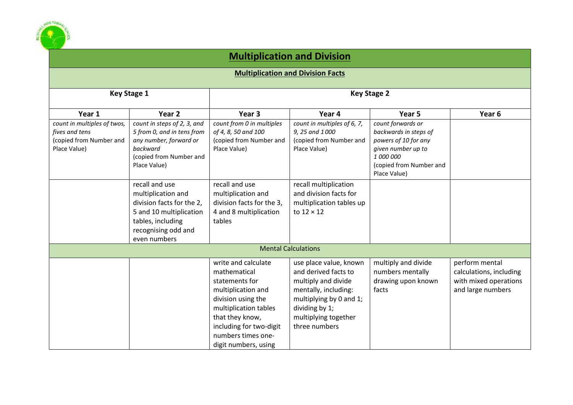

### **Multiplication and Division**

**Multiplication and Division Facts**

|                             | <b>Key Stage 1</b>                      | <b>Key Stage 2</b>        |                             |                                 |                         |  |
|-----------------------------|-----------------------------------------|---------------------------|-----------------------------|---------------------------------|-------------------------|--|
|                             | Year 2                                  | Year 3                    |                             |                                 |                         |  |
| Year 1                      |                                         |                           | Year 4                      | Year 5                          | Year <sub>6</sub>       |  |
| count in multiples of twos, | count in steps of 2, 3, and             | count from 0 in multiples | count in multiples of 6, 7, | count forwards or               |                         |  |
| fives and tens              | 5 from 0, and in tens from              | of 4, 8, 50 and 100       | 9, 25 and 1000              | backwards in steps of           |                         |  |
| (copied from Number and     | any number, forward or                  | (copied from Number and   | (copied from Number and     | powers of 10 for any            |                         |  |
| Place Value)                | backward                                | Place Value)              | Place Value)                | given number up to<br>1 000 000 |                         |  |
|                             | (copied from Number and<br>Place Value) |                           |                             | (copied from Number and         |                         |  |
|                             |                                         |                           |                             | Place Value)                    |                         |  |
|                             |                                         |                           |                             |                                 |                         |  |
|                             | recall and use                          | recall and use            | recall multiplication       |                                 |                         |  |
|                             | multiplication and                      | multiplication and        | and division facts for      |                                 |                         |  |
|                             | division facts for the 2,               | division facts for the 3, | multiplication tables up    |                                 |                         |  |
|                             | 5 and 10 multiplication                 | 4 and 8 multiplication    | to $12 \times 12$           |                                 |                         |  |
|                             | tables, including                       | tables                    |                             |                                 |                         |  |
|                             | recognising odd and                     |                           |                             |                                 |                         |  |
|                             | even numbers                            |                           |                             |                                 |                         |  |
|                             |                                         |                           | <b>Mental Calculations</b>  |                                 |                         |  |
|                             |                                         | write and calculate       | use place value, known      | multiply and divide             | perform mental          |  |
|                             |                                         | mathematical              | and derived facts to        | numbers mentally                | calculations, including |  |
|                             |                                         | statements for            | multiply and divide         | drawing upon known              | with mixed operations   |  |
|                             |                                         | multiplication and        | mentally, including:        | facts                           | and large numbers       |  |
|                             |                                         | division using the        | multiplying by 0 and 1;     |                                 |                         |  |
|                             |                                         | multiplication tables     | dividing by 1;              |                                 |                         |  |
|                             |                                         | that they know,           | multiplying together        |                                 |                         |  |
|                             |                                         | including for two-digit   | three numbers               |                                 |                         |  |
|                             |                                         | numbers times one-        |                             |                                 |                         |  |
|                             |                                         | digit numbers, using      |                             |                                 |                         |  |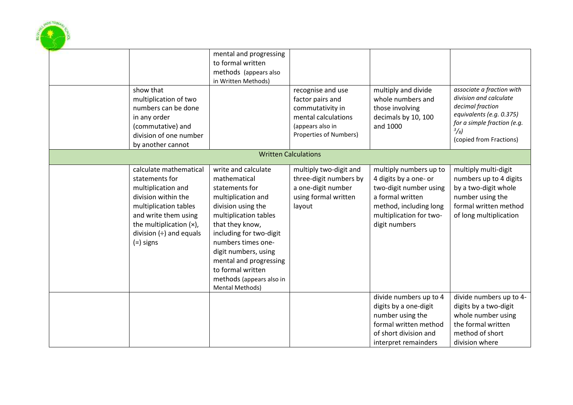

| show that<br>multiplication of two<br>numbers can be done<br>in any order<br>(commutative) and<br>division of one number<br>by another cannot                                                                       | mental and progressing<br>to formal written<br>methods (appears also<br>in Written Methods)                                                                                                                                                                                                                          | recognise and use<br>factor pairs and<br>commutativity in<br>mental calculations<br>(appears also in<br>Properties of Numbers) | multiply and divide<br>whole numbers and<br>those involving<br>decimals by 10, 100<br>and 1000                                                                      | associate a fraction with<br>division and calculate<br>decimal fraction<br>equivalents (e.g. 0.375)<br>for a simple fraction (e.g.<br>$^{3}/_{8}$ )<br>(copied from Fractions) |
|---------------------------------------------------------------------------------------------------------------------------------------------------------------------------------------------------------------------|----------------------------------------------------------------------------------------------------------------------------------------------------------------------------------------------------------------------------------------------------------------------------------------------------------------------|--------------------------------------------------------------------------------------------------------------------------------|---------------------------------------------------------------------------------------------------------------------------------------------------------------------|--------------------------------------------------------------------------------------------------------------------------------------------------------------------------------|
|                                                                                                                                                                                                                     | <b>Written Calculations</b>                                                                                                                                                                                                                                                                                          |                                                                                                                                |                                                                                                                                                                     |                                                                                                                                                                                |
| calculate mathematical<br>statements for<br>multiplication and<br>division within the<br>multiplication tables<br>and write them using<br>the multiplication $(x)$ ,<br>division $(\div)$ and equals<br>$(=)$ signs | write and calculate<br>mathematical<br>statements for<br>multiplication and<br>division using the<br>multiplication tables<br>that they know,<br>including for two-digit<br>numbers times one-<br>digit numbers, using<br>mental and progressing<br>to formal written<br>methods (appears also in<br>Mental Methods) | multiply two-digit and<br>three-digit numbers by<br>a one-digit number<br>using formal written<br>layout                       | multiply numbers up to<br>4 digits by a one- or<br>two-digit number using<br>a formal written<br>method, including long<br>multiplication for two-<br>digit numbers | multiply multi-digit<br>numbers up to 4 digits<br>by a two-digit whole<br>number using the<br>formal written method<br>of long multiplication                                  |
|                                                                                                                                                                                                                     |                                                                                                                                                                                                                                                                                                                      |                                                                                                                                | divide numbers up to 4<br>digits by a one-digit<br>number using the<br>formal written method<br>of short division and<br>interpret remainders                       | divide numbers up to 4-<br>digits by a two-digit<br>whole number using<br>the formal written<br>method of short<br>division where                                              |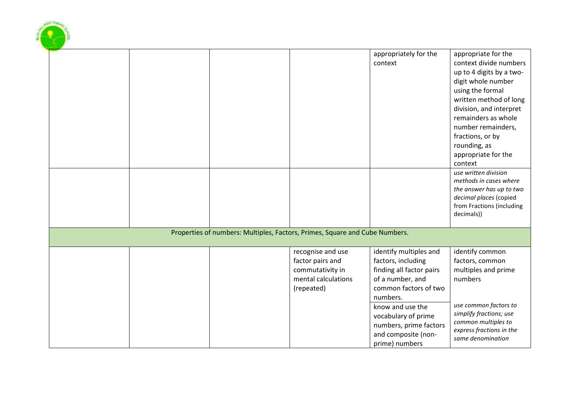|  |                                                                             |                                                                                                | appropriately for the<br>context                                                                                                                                                                                              | appropriate for the<br>context divide numbers<br>up to 4 digits by a two-<br>digit whole number<br>using the formal<br>written method of long<br>division, and interpret<br>remainders as whole<br>number remainders,<br>fractions, or by<br>rounding, as<br>appropriate for the<br>context |
|--|-----------------------------------------------------------------------------|------------------------------------------------------------------------------------------------|-------------------------------------------------------------------------------------------------------------------------------------------------------------------------------------------------------------------------------|---------------------------------------------------------------------------------------------------------------------------------------------------------------------------------------------------------------------------------------------------------------------------------------------|
|  |                                                                             |                                                                                                |                                                                                                                                                                                                                               | use written division<br>methods in cases where<br>the answer has up to two<br>decimal places (copied<br>from Fractions (including<br>decimals))                                                                                                                                             |
|  | Properties of numbers: Multiples, Factors, Primes, Square and Cube Numbers. |                                                                                                |                                                                                                                                                                                                                               |                                                                                                                                                                                                                                                                                             |
|  |                                                                             | recognise and use<br>factor pairs and<br>commutativity in<br>mental calculations<br>(repeated) | identify multiples and<br>factors, including<br>finding all factor pairs<br>of a number, and<br>common factors of two<br>numbers.<br>know and use the<br>vocabulary of prime<br>numbers, prime factors<br>and composite (non- | identify common<br>factors, common<br>multiples and prime<br>numbers<br>use common factors to<br>simplify fractions; use<br>common multiples to<br>express fractions in the                                                                                                                 |
|  |                                                                             |                                                                                                | prime) numbers                                                                                                                                                                                                                | same denomination                                                                                                                                                                                                                                                                           |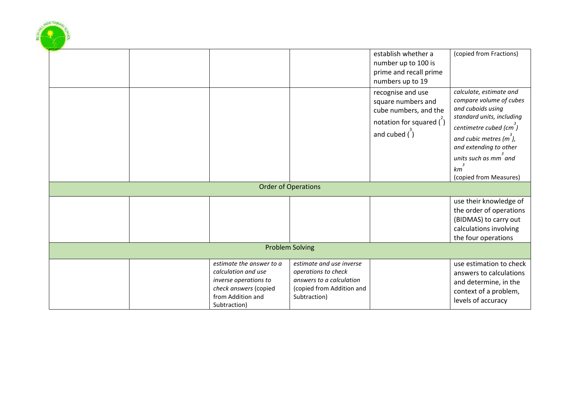|  |                                                                                                                                        |                                                                                                                          | establish whether a<br>number up to 100 is<br>prime and recall prime<br>numbers up to 19                                            | (copied from Fractions)                                                                                                                                                                                                                                                                            |
|--|----------------------------------------------------------------------------------------------------------------------------------------|--------------------------------------------------------------------------------------------------------------------------|-------------------------------------------------------------------------------------------------------------------------------------|----------------------------------------------------------------------------------------------------------------------------------------------------------------------------------------------------------------------------------------------------------------------------------------------------|
|  |                                                                                                                                        |                                                                                                                          | recognise and use<br>square numbers and<br>cube numbers, and the<br>notation for squared $\binom{2}{1}$<br>and cubed $\binom{3}{1}$ | calculate, estimate and<br>compare volume of cubes<br>and cuboids using<br>standard units, including<br>centimetre cubed (cm <sup>3</sup> )<br>and cubic metres $(m7)$ ,<br>and extending to other<br>units such as mm <sup>o</sup> and<br>$\overline{\mathbf{3}}$<br>km<br>(copied from Measures) |
|  |                                                                                                                                        | <b>Order of Operations</b>                                                                                               |                                                                                                                                     |                                                                                                                                                                                                                                                                                                    |
|  |                                                                                                                                        |                                                                                                                          |                                                                                                                                     | use their knowledge of<br>the order of operations<br>(BIDMAS) to carry out<br>calculations involving<br>the four operations                                                                                                                                                                        |
|  |                                                                                                                                        | <b>Problem Solving</b>                                                                                                   |                                                                                                                                     |                                                                                                                                                                                                                                                                                                    |
|  | estimate the answer to a<br>calculation and use<br>inverse operations to<br>check answers (copied<br>from Addition and<br>Subtraction) | estimate and use inverse<br>operations to check<br>answers to a calculation<br>(copied from Addition and<br>Subtraction) |                                                                                                                                     | use estimation to check<br>answers to calculations<br>and determine, in the<br>context of a problem,<br>levels of accuracy                                                                                                                                                                         |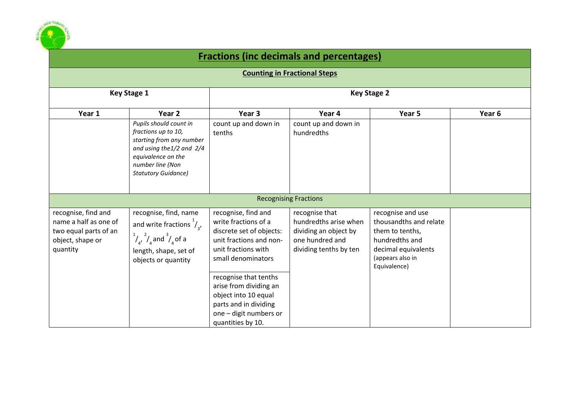

## **Fractions (inc decimals and percentages)**

#### **Counting in Fractional Steps**

| <b>Key Stage 1</b>                                                                                    |                                                                                                                                                                                | <b>Key Stage 2</b>                                                                                                                                                                                                                                                            |                                                                                                               |                                                                                                                                             |        |  |  |
|-------------------------------------------------------------------------------------------------------|--------------------------------------------------------------------------------------------------------------------------------------------------------------------------------|-------------------------------------------------------------------------------------------------------------------------------------------------------------------------------------------------------------------------------------------------------------------------------|---------------------------------------------------------------------------------------------------------------|---------------------------------------------------------------------------------------------------------------------------------------------|--------|--|--|
| Year 1                                                                                                | Year <sub>2</sub>                                                                                                                                                              | Year 3                                                                                                                                                                                                                                                                        | Year 4                                                                                                        | Year 5                                                                                                                                      | Year 6 |  |  |
|                                                                                                       | Pupils should count in<br>fractions up to 10,<br>starting from any number<br>and using the 1/2 and 2/4<br>equivalence on the<br>number line (Non<br><b>Statutory Guidance)</b> | count up and down in<br>tenths                                                                                                                                                                                                                                                | count up and down in<br>hundredths                                                                            |                                                                                                                                             |        |  |  |
|                                                                                                       |                                                                                                                                                                                |                                                                                                                                                                                                                                                                               | <b>Recognising Fractions</b>                                                                                  |                                                                                                                                             |        |  |  |
| recognise, find and<br>name a half as one of<br>two equal parts of an<br>object, shape or<br>quantity | recognise, find, name<br>and write fractions $\frac{1}{4}$ ,<br>$\frac{1}{4}$ , $\frac{2}{4}$ and $\frac{3}{4}$ of a<br>length, shape, set of<br>objects or quantity           | recognise, find and<br>write fractions of a<br>discrete set of objects:<br>unit fractions and non-<br>unit fractions with<br>small denominators<br>recognise that tenths<br>arise from dividing an<br>object into 10 equal<br>parts and in dividing<br>one - digit numbers or | recognise that<br>hundredths arise when<br>dividing an object by<br>one hundred and<br>dividing tenths by ten | recognise and use<br>thousandths and relate<br>them to tenths,<br>hundredths and<br>decimal equivalents<br>(appears also in<br>Equivalence) |        |  |  |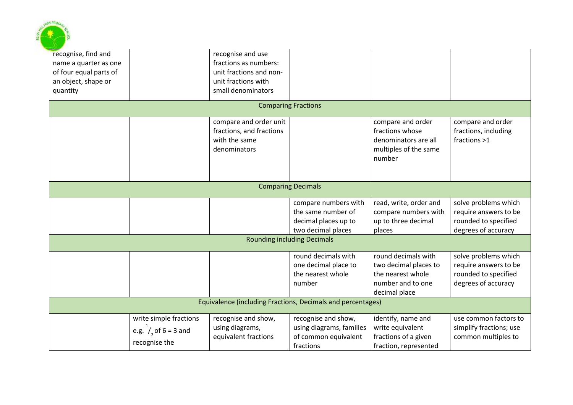

| recognise, find and<br>name a quarter as one<br>of four equal parts of<br>an object, shape or<br>quantity |                                                                          | recognise and use<br>fractions as numbers:<br>unit fractions and non-<br>unit fractions with<br>small denominators |                                                                                          |                                                                                                         |                                                                                              |  |  |  |
|-----------------------------------------------------------------------------------------------------------|--------------------------------------------------------------------------|--------------------------------------------------------------------------------------------------------------------|------------------------------------------------------------------------------------------|---------------------------------------------------------------------------------------------------------|----------------------------------------------------------------------------------------------|--|--|--|
|                                                                                                           |                                                                          |                                                                                                                    | <b>Comparing Fractions</b>                                                               |                                                                                                         |                                                                                              |  |  |  |
|                                                                                                           |                                                                          | compare and order unit<br>fractions, and fractions<br>with the same<br>denominators                                |                                                                                          | compare and order<br>fractions whose<br>denominators are all<br>multiples of the same<br>number         | compare and order<br>fractions, including<br>fractions >1                                    |  |  |  |
|                                                                                                           |                                                                          |                                                                                                                    | <b>Comparing Decimals</b>                                                                |                                                                                                         |                                                                                              |  |  |  |
|                                                                                                           |                                                                          |                                                                                                                    | compare numbers with<br>the same number of<br>decimal places up to<br>two decimal places | read, write, order and<br>compare numbers with<br>up to three decimal<br>places                         | solve problems which<br>require answers to be<br>rounded to specified<br>degrees of accuracy |  |  |  |
|                                                                                                           |                                                                          |                                                                                                                    | <b>Rounding including Decimals</b>                                                       |                                                                                                         |                                                                                              |  |  |  |
|                                                                                                           |                                                                          |                                                                                                                    | round decimals with<br>one decimal place to<br>the nearest whole<br>number               | round decimals with<br>two decimal places to<br>the nearest whole<br>number and to one<br>decimal place | solve problems which<br>require answers to be<br>rounded to specified<br>degrees of accuracy |  |  |  |
| Equivalence (including Fractions, Decimals and percentages)                                               |                                                                          |                                                                                                                    |                                                                                          |                                                                                                         |                                                                                              |  |  |  |
|                                                                                                           | write simple fractions<br>e.g. $^{1}/_{2}$ of 6 = 3 and<br>recognise the | recognise and show,<br>using diagrams,<br>equivalent fractions                                                     | recognise and show,<br>using diagrams, families<br>of common equivalent<br>fractions     | identify, name and<br>write equivalent<br>fractions of a given<br>fraction, represented                 | use common factors to<br>simplify fractions; use<br>common multiples to                      |  |  |  |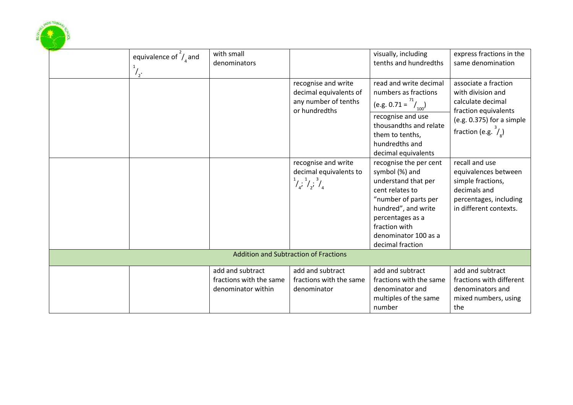| equivalence of $\frac{2}{3}$ and<br>$\frac{1}{2}$ . | with small<br>denominators                                        |                                                                                                | visually, including<br>tenths and hundredths                                                                                                                                                                       | express fractions in the<br>same denomination                                                                                                         |
|-----------------------------------------------------|-------------------------------------------------------------------|------------------------------------------------------------------------------------------------|--------------------------------------------------------------------------------------------------------------------------------------------------------------------------------------------------------------------|-------------------------------------------------------------------------------------------------------------------------------------------------------|
|                                                     |                                                                   | recognise and write<br>decimal equivalents of<br>any number of tenths<br>or hundredths         | read and write decimal<br>numbers as fractions<br>(e.g. $0.71 = \frac{71}{100}$ )<br>recognise and use<br>thousandths and relate<br>them to tenths,<br>hundredths and<br>decimal equivalents                       | associate a fraction<br>with division and<br>calculate decimal<br>fraction equivalents<br>(e.g. 0.375) for a simple<br>fraction (e.g. $\frac{3}{2}$ ) |
|                                                     |                                                                   | recognise and write<br>decimal equivalents to<br>$\frac{1}{4}$ , $\frac{1}{4}$ , $\frac{3}{4}$ | recognise the per cent<br>symbol (%) and<br>understand that per<br>cent relates to<br>"number of parts per<br>hundred", and write<br>percentages as a<br>fraction with<br>denominator 100 as a<br>decimal fraction | recall and use<br>equivalences between<br>simple fractions,<br>decimals and<br>percentages, including<br>in different contexts.                       |
|                                                     |                                                                   | <b>Addition and Subtraction of Fractions</b>                                                   |                                                                                                                                                                                                                    |                                                                                                                                                       |
|                                                     | add and subtract<br>fractions with the same<br>denominator within | add and subtract<br>fractions with the same<br>denominator                                     | add and subtract<br>fractions with the same<br>denominator and<br>multiples of the same<br>number                                                                                                                  | add and subtract<br>fractions with different<br>denominators and<br>mixed numbers, using<br>the                                                       |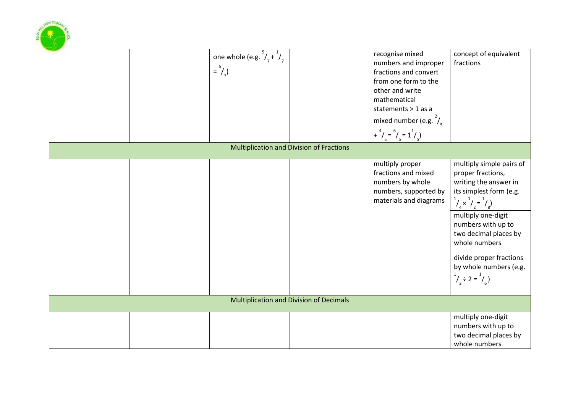| D                                 |                                                 |                                                                                                                                                                                                                                    |                                                                                                                                                                                                                                                                                                                                   |
|-----------------------------------|-------------------------------------------------|------------------------------------------------------------------------------------------------------------------------------------------------------------------------------------------------------------------------------------|-----------------------------------------------------------------------------------------------------------------------------------------------------------------------------------------------------------------------------------------------------------------------------------------------------------------------------------|
| $=$ <sup>6</sup> / <sub>7</sub> ) | one whole (e.g. $\frac{5}{7} + \frac{1}{7}$     | recognise mixed<br>numbers and improper<br>fractions and convert<br>from one form to the<br>other and write<br>mathematical<br>statements > 1 as a<br>mixed number (e.g. $\frac{2}{5}$ )<br>+ $^{4}/_{5} = ^{6}/_{5} = 1^{1}/_{5}$ | concept of equivalent<br>fractions                                                                                                                                                                                                                                                                                                |
|                                   | <b>Multiplication and Division of Fractions</b> |                                                                                                                                                                                                                                    |                                                                                                                                                                                                                                                                                                                                   |
|                                   |                                                 | multiply proper<br>fractions and mixed<br>numbers by whole<br>numbers, supported by<br>materials and diagrams                                                                                                                      | multiply simple pairs of<br>proper fractions,<br>writing the answer in<br>its simplest form (e.g.<br>$\frac{1}{4}x^{1}/\frac{1}{2}=\frac{1}{8}$<br>multiply one-digit<br>numbers with up to<br>two decimal places by<br>whole numbers<br>divide proper fractions<br>by whole numbers (e.g.<br>$\frac{1}{4}$ ÷ 2 = $\frac{1}{6}$ ) |
|                                   | <b>Multiplication and Division of Decimals</b>  |                                                                                                                                                                                                                                    |                                                                                                                                                                                                                                                                                                                                   |
|                                   |                                                 |                                                                                                                                                                                                                                    | multiply one-digit<br>numbers with up to<br>two decimal places by<br>whole numbers                                                                                                                                                                                                                                                |

**OFFICE PHONE**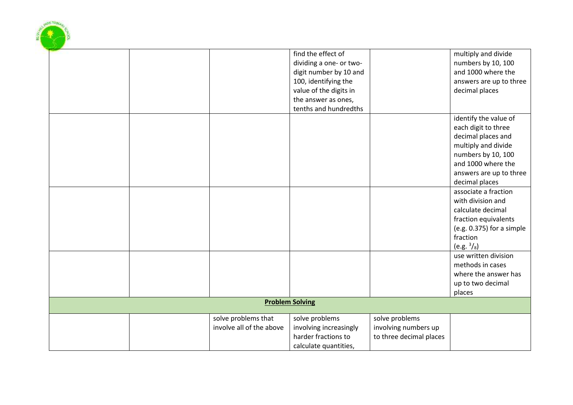|  |                          | find the effect of      |                         | multiply and divide       |
|--|--------------------------|-------------------------|-------------------------|---------------------------|
|  |                          | dividing a one- or two- |                         | numbers by 10, 100        |
|  |                          | digit number by 10 and  |                         | and 1000 where the        |
|  |                          | 100, identifying the    |                         | answers are up to three   |
|  |                          | value of the digits in  |                         | decimal places            |
|  |                          | the answer as ones,     |                         |                           |
|  |                          | tenths and hundredths   |                         |                           |
|  |                          |                         |                         | identify the value of     |
|  |                          |                         |                         | each digit to three       |
|  |                          |                         |                         | decimal places and        |
|  |                          |                         |                         | multiply and divide       |
|  |                          |                         |                         | numbers by 10, 100        |
|  |                          |                         |                         | and 1000 where the        |
|  |                          |                         |                         | answers are up to three   |
|  |                          |                         |                         | decimal places            |
|  |                          |                         |                         | associate a fraction      |
|  |                          |                         |                         | with division and         |
|  |                          |                         |                         | calculate decimal         |
|  |                          |                         |                         | fraction equivalents      |
|  |                          |                         |                         | (e.g. 0.375) for a simple |
|  |                          |                         |                         | fraction                  |
|  |                          |                         |                         | (e.g. $\frac{3}{8}$ )     |
|  |                          |                         |                         | use written division      |
|  |                          |                         |                         | methods in cases          |
|  |                          |                         |                         | where the answer has      |
|  |                          |                         |                         | up to two decimal         |
|  |                          |                         |                         | places                    |
|  |                          | <b>Problem Solving</b>  |                         |                           |
|  | solve problems that      | solve problems          | solve problems          |                           |
|  | involve all of the above | involving increasingly  | involving numbers up    |                           |
|  |                          | harder fractions to     | to three decimal places |                           |
|  |                          | calculate quantities,   |                         |                           |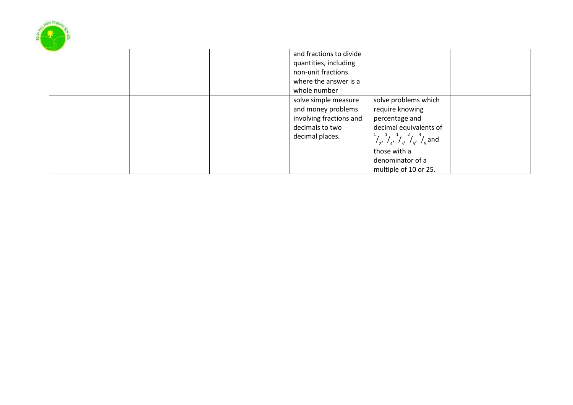|  |  | and fractions to divide                                                                                     |                                                                                                                                                                          |  |
|--|--|-------------------------------------------------------------------------------------------------------------|--------------------------------------------------------------------------------------------------------------------------------------------------------------------------|--|
|  |  | quantities, including                                                                                       |                                                                                                                                                                          |  |
|  |  | non-unit fractions                                                                                          |                                                                                                                                                                          |  |
|  |  | where the answer is a                                                                                       |                                                                                                                                                                          |  |
|  |  | whole number                                                                                                |                                                                                                                                                                          |  |
|  |  | solve simple measure<br>and money problems<br>involving fractions and<br>decimals to two<br>decimal places. | solve problems which<br>require knowing<br>percentage and<br>decimal equivalents of<br>$\frac{1}{2}$ , $\frac{1}{4}$ , $\frac{1}{5}$ , $\frac{2}{5}$ , $\frac{4}{5}$ and |  |
|  |  |                                                                                                             | those with a<br>denominator of a<br>multiple of 10 or 25.                                                                                                                |  |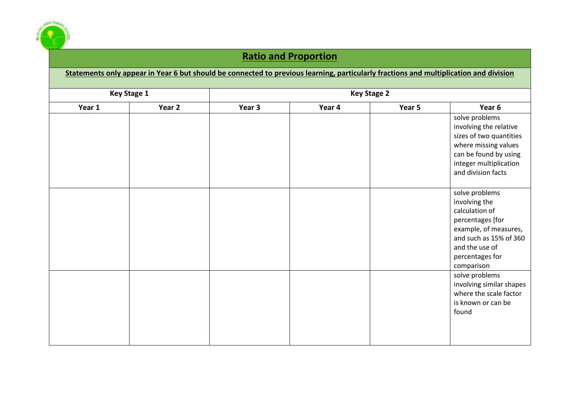

### **Ratio and Proportion**

| Statements only appear in Year 6 but should be connected to previous learning, particularly fractions and multiplication and division |        |                    |        |        |                          |  |
|---------------------------------------------------------------------------------------------------------------------------------------|--------|--------------------|--------|--------|--------------------------|--|
| <b>Key Stage 1</b>                                                                                                                    |        | <b>Key Stage 2</b> |        |        |                          |  |
| Year 1                                                                                                                                | Year 2 | Year 3             | Year 4 | Year 5 | Year 6                   |  |
|                                                                                                                                       |        |                    |        |        | solve problems           |  |
|                                                                                                                                       |        |                    |        |        | involving the relative   |  |
|                                                                                                                                       |        |                    |        |        | sizes of two quantities  |  |
|                                                                                                                                       |        |                    |        |        | where missing values     |  |
|                                                                                                                                       |        |                    |        |        | can be found by using    |  |
|                                                                                                                                       |        |                    |        |        | integer multiplication   |  |
|                                                                                                                                       |        |                    |        |        | and division facts       |  |
|                                                                                                                                       |        |                    |        |        | solve problems           |  |
|                                                                                                                                       |        |                    |        |        | involving the            |  |
|                                                                                                                                       |        |                    |        |        | calculation of           |  |
|                                                                                                                                       |        |                    |        |        | percentages [for         |  |
|                                                                                                                                       |        |                    |        |        | example, of measures,    |  |
|                                                                                                                                       |        |                    |        |        | and such as 15% of 360   |  |
|                                                                                                                                       |        |                    |        |        | and the use of           |  |
|                                                                                                                                       |        |                    |        |        | percentages for          |  |
|                                                                                                                                       |        |                    |        |        | comparison               |  |
|                                                                                                                                       |        |                    |        |        | solve problems           |  |
|                                                                                                                                       |        |                    |        |        | involving similar shapes |  |
|                                                                                                                                       |        |                    |        |        | where the scale factor   |  |
|                                                                                                                                       |        |                    |        |        | is known or can be       |  |
|                                                                                                                                       |        |                    |        |        | found                    |  |
|                                                                                                                                       |        |                    |        |        |                          |  |
|                                                                                                                                       |        |                    |        |        |                          |  |
|                                                                                                                                       |        |                    |        |        |                          |  |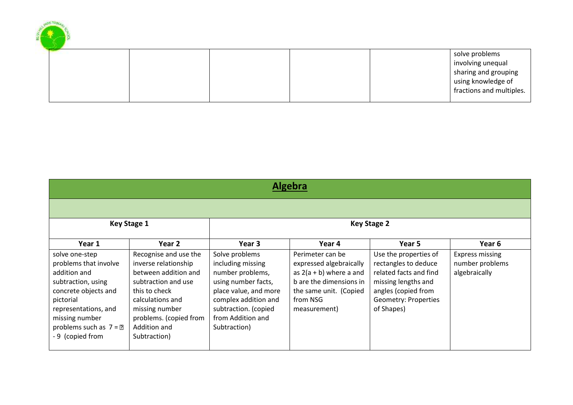|  |  |  | solve problems           |
|--|--|--|--------------------------|
|  |  |  | involving unequal        |
|  |  |  | sharing and grouping     |
|  |  |  | using knowledge of       |
|  |  |  | fractions and multiples. |
|  |  |  |                          |

**CONTRACTOR** 

**SOLUTION** 

|                                                                                                                                                                                                             | <b>Algebra</b>                                                                                                                                                                                                |                                                                                                                                                                                              |                                                                                                                                                           |                                                                                                                                                                    |                                                     |  |  |  |  |
|-------------------------------------------------------------------------------------------------------------------------------------------------------------------------------------------------------------|---------------------------------------------------------------------------------------------------------------------------------------------------------------------------------------------------------------|----------------------------------------------------------------------------------------------------------------------------------------------------------------------------------------------|-----------------------------------------------------------------------------------------------------------------------------------------------------------|--------------------------------------------------------------------------------------------------------------------------------------------------------------------|-----------------------------------------------------|--|--|--|--|
|                                                                                                                                                                                                             |                                                                                                                                                                                                               |                                                                                                                                                                                              |                                                                                                                                                           |                                                                                                                                                                    |                                                     |  |  |  |  |
|                                                                                                                                                                                                             | <b>Key Stage 1</b>                                                                                                                                                                                            |                                                                                                                                                                                              |                                                                                                                                                           | <b>Key Stage 2</b>                                                                                                                                                 |                                                     |  |  |  |  |
| Year 1                                                                                                                                                                                                      | Year 2                                                                                                                                                                                                        | Year 3                                                                                                                                                                                       | Year 4                                                                                                                                                    | Year 5                                                                                                                                                             | Year 6                                              |  |  |  |  |
| solve one-step<br>problems that involve<br>addition and<br>subtraction, using<br>concrete objects and<br>pictorial<br>representations, and<br>missing number<br>problems such as $7 = 2$<br>-9 (copied from | Recognise and use the<br>inverse relationship<br>between addition and<br>subtraction and use<br>this to check<br>calculations and<br>missing number<br>problems. (copied from<br>Addition and<br>Subtraction) | Solve problems<br>including missing<br>number problems,<br>using number facts,<br>place value, and more<br>complex addition and<br>subtraction. (copied<br>from Addition and<br>Subtraction) | Perimeter can be<br>expressed algebraically<br>as $2(a + b)$ where a and<br>b are the dimensions in<br>the same unit. (Copied<br>from NSG<br>measurement) | Use the properties of<br>rectangles to deduce<br>related facts and find<br>missing lengths and<br>angles (copied from<br><b>Geometry: Properties</b><br>of Shapes) | Express missing<br>number problems<br>algebraically |  |  |  |  |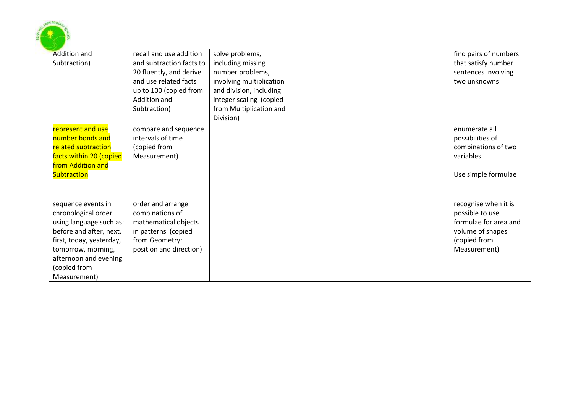

| <b>Addition and</b><br>Subtraction)                                                                                                                                                                        | recall and use addition<br>and subtraction facts to<br>20 fluently, and derive<br>and use related facts<br>up to 100 (copied from<br>Addition and<br>Subtraction) | solve problems,<br>including missing<br>number problems,<br>involving multiplication<br>and division, including<br>integer scaling (copied<br>from Multiplication and<br>Division) |  | find pairs of numbers<br>that satisfy number<br>sentences involving<br>two unknowns                                  |
|------------------------------------------------------------------------------------------------------------------------------------------------------------------------------------------------------------|-------------------------------------------------------------------------------------------------------------------------------------------------------------------|------------------------------------------------------------------------------------------------------------------------------------------------------------------------------------|--|----------------------------------------------------------------------------------------------------------------------|
| represent and use<br>number bonds and<br>related subtraction<br>facts within 20 (copied<br>from Addition and<br><b>Subtraction</b>                                                                         | compare and sequence<br>intervals of time<br>(copied from<br>Measurement)                                                                                         |                                                                                                                                                                                    |  | enumerate all<br>possibilities of<br>combinations of two<br>variables<br>Use simple formulae                         |
| sequence events in<br>chronological order<br>using language such as:<br>before and after, next,<br>first, today, yesterday,<br>tomorrow, morning,<br>afternoon and evening<br>(copied from<br>Measurement) | order and arrange<br>combinations of<br>mathematical objects<br>in patterns (copied<br>from Geometry:<br>position and direction)                                  |                                                                                                                                                                                    |  | recognise when it is<br>possible to use<br>formulae for area and<br>volume of shapes<br>(copied from<br>Measurement) |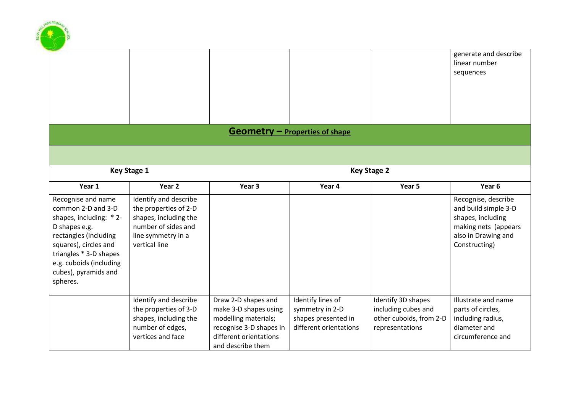|                                                                                                                                                                                                                                 |                                                                                                                                       |                                                                                                                                                |                                                                                       |                                                                                         | generate and describe<br>linear number<br>sequences                                                                              |
|---------------------------------------------------------------------------------------------------------------------------------------------------------------------------------------------------------------------------------|---------------------------------------------------------------------------------------------------------------------------------------|------------------------------------------------------------------------------------------------------------------------------------------------|---------------------------------------------------------------------------------------|-----------------------------------------------------------------------------------------|----------------------------------------------------------------------------------------------------------------------------------|
|                                                                                                                                                                                                                                 |                                                                                                                                       |                                                                                                                                                |                                                                                       |                                                                                         |                                                                                                                                  |
|                                                                                                                                                                                                                                 |                                                                                                                                       |                                                                                                                                                | $Geometry - Properties of shape$                                                      |                                                                                         |                                                                                                                                  |
|                                                                                                                                                                                                                                 |                                                                                                                                       |                                                                                                                                                |                                                                                       |                                                                                         |                                                                                                                                  |
|                                                                                                                                                                                                                                 | <b>Key Stage 1</b>                                                                                                                    |                                                                                                                                                |                                                                                       | <b>Key Stage 2</b>                                                                      |                                                                                                                                  |
| Year 1                                                                                                                                                                                                                          | Year 2                                                                                                                                | Year 3                                                                                                                                         | Year 4                                                                                | Year 5                                                                                  | Year 6                                                                                                                           |
| Recognise and name<br>common 2-D and 3-D<br>shapes, including: * 2-<br>D shapes e.g.<br>rectangles (including<br>squares), circles and<br>triangles * 3-D shapes<br>e.g. cuboids (including<br>cubes), pyramids and<br>spheres. | Identify and describe<br>the properties of 2-D<br>shapes, including the<br>number of sides and<br>line symmetry in a<br>vertical line |                                                                                                                                                |                                                                                       |                                                                                         | Recognise, describe<br>and build simple 3-D<br>shapes, including<br>making nets (appears<br>also in Drawing and<br>Constructing) |
|                                                                                                                                                                                                                                 | Identify and describe<br>the properties of 3-D<br>shapes, including the<br>number of edges,<br>vertices and face                      | Draw 2-D shapes and<br>make 3-D shapes using<br>modelling materials;<br>recognise 3-D shapes in<br>different orientations<br>and describe them | Identify lines of<br>symmetry in 2-D<br>shapes presented in<br>different orientations | Identify 3D shapes<br>including cubes and<br>other cuboids, from 2-D<br>representations | Illustrate and name<br>parts of circles,<br>including radius,<br>diameter and<br>circumference and                               |

**ANY PRINCE**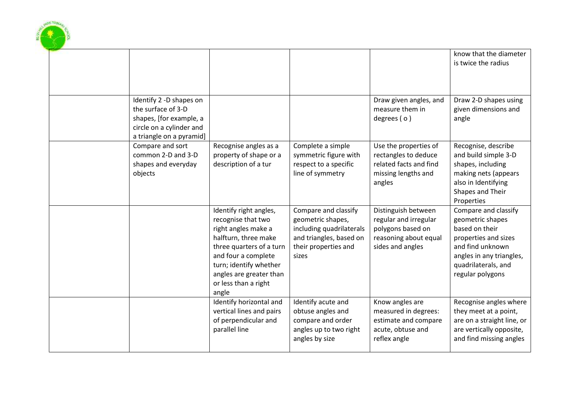

|                                                                                                                                  |                                                                                                                                                                                                                                      |                                                                                                                                   |                                                                                                                | know that the diameter<br>is twice the radius                                                                                                                                 |
|----------------------------------------------------------------------------------------------------------------------------------|--------------------------------------------------------------------------------------------------------------------------------------------------------------------------------------------------------------------------------------|-----------------------------------------------------------------------------------------------------------------------------------|----------------------------------------------------------------------------------------------------------------|-------------------------------------------------------------------------------------------------------------------------------------------------------------------------------|
| Identify 2 -D shapes on<br>the surface of 3-D<br>shapes, [for example, a<br>circle on a cylinder and<br>a triangle on a pyramid] |                                                                                                                                                                                                                                      |                                                                                                                                   | Draw given angles, and<br>measure them in<br>degrees $( o )$                                                   | Draw 2-D shapes using<br>given dimensions and<br>angle                                                                                                                        |
| Compare and sort<br>common 2-D and 3-D<br>shapes and everyday<br>objects                                                         | Recognise angles as a<br>property of shape or a<br>description of a tur                                                                                                                                                              | Complete a simple<br>symmetric figure with<br>respect to a specific<br>line of symmetry                                           | Use the properties of<br>rectangles to deduce<br>related facts and find<br>missing lengths and<br>angles       | Recognise, describe<br>and build simple 3-D<br>shapes, including<br>making nets (appears<br>also in Identifying<br>Shapes and Their<br>Properties                             |
|                                                                                                                                  | Identify right angles,<br>recognise that two<br>right angles make a<br>halfturn, three make<br>three quarters of a turn<br>and four a complete<br>turn; identify whether<br>angles are greater than<br>or less than a right<br>angle | Compare and classify<br>geometric shapes,<br>including quadrilaterals<br>and triangles, based on<br>their properties and<br>sizes | Distinguish between<br>regular and irregular<br>polygons based on<br>reasoning about equal<br>sides and angles | Compare and classify<br>geometric shapes<br>based on their<br>properties and sizes<br>and find unknown<br>angles in any triangles,<br>quadrilaterals, and<br>regular polygons |
|                                                                                                                                  | Identify horizontal and<br>vertical lines and pairs<br>of perpendicular and<br>parallel line                                                                                                                                         | Identify acute and<br>obtuse angles and<br>compare and order<br>angles up to two right<br>angles by size                          | Know angles are<br>measured in degrees:<br>estimate and compare<br>acute, obtuse and<br>reflex angle           | Recognise angles where<br>they meet at a point,<br>are on a straight line, or<br>are vertically opposite,<br>and find missing angles                                          |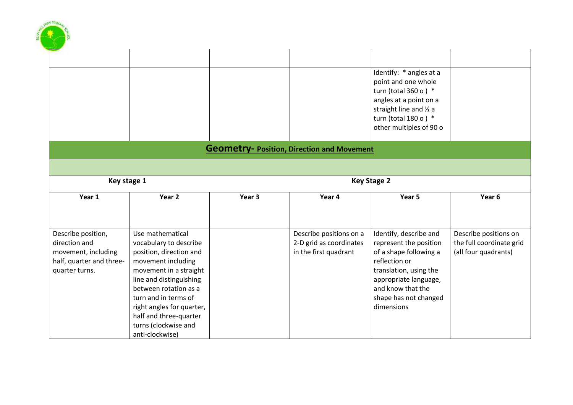|                                                                                                          |                                                                                                                                                                                                                                |        |                                                                             | Identify: * angles at a<br>point and one whole<br>turn (total 360 o) $*$<br>angles at a point on a<br>straight line and 1/2 a<br>turn (total 180 o) $*$<br>other multiples of 90 o                         |                                                                           |
|----------------------------------------------------------------------------------------------------------|--------------------------------------------------------------------------------------------------------------------------------------------------------------------------------------------------------------------------------|--------|-----------------------------------------------------------------------------|------------------------------------------------------------------------------------------------------------------------------------------------------------------------------------------------------------|---------------------------------------------------------------------------|
|                                                                                                          |                                                                                                                                                                                                                                |        | <b>Geometry-Position, Direction and Movement</b>                            |                                                                                                                                                                                                            |                                                                           |
| Key stage 1                                                                                              |                                                                                                                                                                                                                                |        |                                                                             | <b>Key Stage 2</b>                                                                                                                                                                                         |                                                                           |
| Year 1                                                                                                   | Year <sub>2</sub>                                                                                                                                                                                                              | Year 3 | Year 4                                                                      | Year 5                                                                                                                                                                                                     | Year 6                                                                    |
| Describe position,<br>direction and<br>movement, including<br>half, quarter and three-<br>quarter turns. | Use mathematical<br>vocabulary to describe<br>position, direction and<br>movement including<br>movement in a straight<br>line and distinguishing<br>between rotation as a<br>turn and in terms of<br>right angles for quarter, |        | Describe positions on a<br>2-D grid as coordinates<br>in the first quadrant | Identify, describe and<br>represent the position<br>of a shape following a<br>reflection or<br>translation, using the<br>appropriate language,<br>and know that the<br>shape has not changed<br>dimensions | Describe positions on<br>the full coordinate grid<br>(all four quadrants) |

SASK Ditting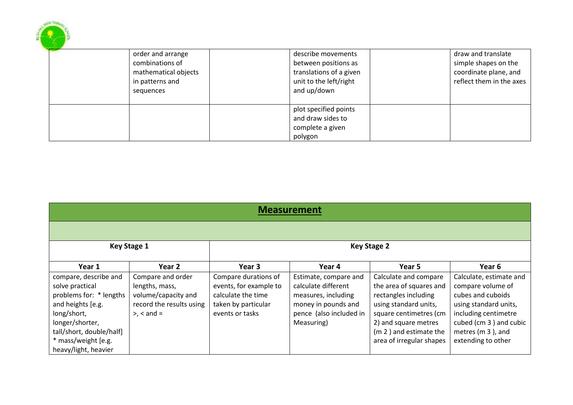

| <b>Measurement</b>                                                                                                                                                                                    |                                                                                                         |                                                                                                                |                                                                                                                                     |                                                                                                                                                                                                           |                                                                                                                                                                                         |  |  |  |  |
|-------------------------------------------------------------------------------------------------------------------------------------------------------------------------------------------------------|---------------------------------------------------------------------------------------------------------|----------------------------------------------------------------------------------------------------------------|-------------------------------------------------------------------------------------------------------------------------------------|-----------------------------------------------------------------------------------------------------------------------------------------------------------------------------------------------------------|-----------------------------------------------------------------------------------------------------------------------------------------------------------------------------------------|--|--|--|--|
|                                                                                                                                                                                                       |                                                                                                         |                                                                                                                |                                                                                                                                     |                                                                                                                                                                                                           |                                                                                                                                                                                         |  |  |  |  |
| <b>Key Stage 1</b><br><b>Key Stage 2</b>                                                                                                                                                              |                                                                                                         |                                                                                                                |                                                                                                                                     |                                                                                                                                                                                                           |                                                                                                                                                                                         |  |  |  |  |
| Year 1                                                                                                                                                                                                | Year 2                                                                                                  | Year 3                                                                                                         | Year 4                                                                                                                              | Year 5                                                                                                                                                                                                    | Year 6                                                                                                                                                                                  |  |  |  |  |
| compare, describe and<br>solve practical<br>problems for: * lengths<br>and heights [e.g.<br>long/short,<br>longer/shorter,<br>tall/short, double/half]<br>* mass/weight [e.g.<br>heavy/light, heavier | Compare and order<br>lengths, mass,<br>volume/capacity and<br>record the results using<br>$> x <$ and = | Compare durations of<br>events, for example to<br>calculate the time<br>taken by particular<br>events or tasks | Estimate, compare and<br>calculate different<br>measures, including<br>money in pounds and<br>pence (also included in<br>Measuring) | Calculate and compare<br>the area of squares and<br>rectangles including<br>using standard units,<br>square centimetres (cm<br>2) and square metres<br>(m 2) and estimate the<br>area of irregular shapes | Calculate, estimate and<br>compare volume of<br>cubes and cuboids<br>using standard units,<br>including centimetre<br>cubed (cm 3) and cubic<br>metres (m 3), and<br>extending to other |  |  |  |  |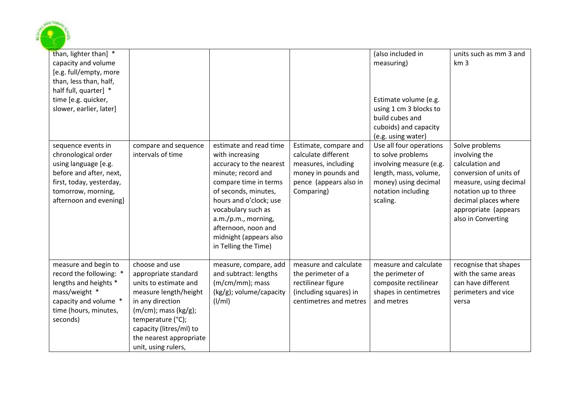

| than, lighter than] *<br>capacity and volume<br>[e.g. full/empty, more<br>than, less than, half,<br>half full, quarter] *<br>time [e.g. quicker,<br>slower, earlier, later] |                                                                                                                                                                                                                                              |                                                                                                                                                                                                                                                                                             |                                                                                                                                    | (also included in<br>measuring)<br>Estimate volume (e.g.<br>using 1 cm 3 blocks to<br>build cubes and<br>cuboids) and capacity<br>(e.g. using water)       | units such as mm 3 and<br>km <sub>3</sub>                                                                                                                                                            |
|-----------------------------------------------------------------------------------------------------------------------------------------------------------------------------|----------------------------------------------------------------------------------------------------------------------------------------------------------------------------------------------------------------------------------------------|---------------------------------------------------------------------------------------------------------------------------------------------------------------------------------------------------------------------------------------------------------------------------------------------|------------------------------------------------------------------------------------------------------------------------------------|------------------------------------------------------------------------------------------------------------------------------------------------------------|------------------------------------------------------------------------------------------------------------------------------------------------------------------------------------------------------|
| sequence events in<br>chronological order<br>using language [e.g.<br>before and after, next,<br>first, today, yesterday,<br>tomorrow, morning,<br>afternoon and evening]    | compare and sequence<br>intervals of time                                                                                                                                                                                                    | estimate and read time<br>with increasing<br>accuracy to the nearest<br>minute; record and<br>compare time in terms<br>of seconds, minutes,<br>hours and o'clock; use<br>vocabulary such as<br>a.m./p.m., morning,<br>afternoon, noon and<br>midnight (appears also<br>in Telling the Time) | Estimate, compare and<br>calculate different<br>measures, including<br>money in pounds and<br>pence (appears also in<br>Comparing) | Use all four operations<br>to solve problems<br>involving measure (e.g.<br>length, mass, volume,<br>money) using decimal<br>notation including<br>scaling. | Solve problems<br>involving the<br>calculation and<br>conversion of units of<br>measure, using decimal<br>notation up to three<br>decimal places where<br>appropriate (appears<br>also in Converting |
| measure and begin to<br>record the following: *<br>lengths and heights *<br>mass/weight *<br>capacity and volume *<br>time (hours, minutes,<br>seconds)                     | choose and use<br>appropriate standard<br>units to estimate and<br>measure length/height<br>in any direction<br>$(m/cm)$ ; mass $(kg/g)$ ;<br>temperature (°C);<br>capacity (litres/ml) to<br>the nearest appropriate<br>unit, using rulers, | measure, compare, add<br>and subtract: lengths<br>(m/cm/mm); mass<br>$(kg/g)$ ; volume/capacity<br>$\frac{1}{m}$                                                                                                                                                                            | measure and calculate<br>the perimeter of a<br>rectilinear figure<br>(including squares) in<br>centimetres and metres              | measure and calculate<br>the perimeter of<br>composite rectilinear<br>shapes in centimetres<br>and metres                                                  | recognise that shapes<br>with the same areas<br>can have different<br>perimeters and vice<br>versa                                                                                                   |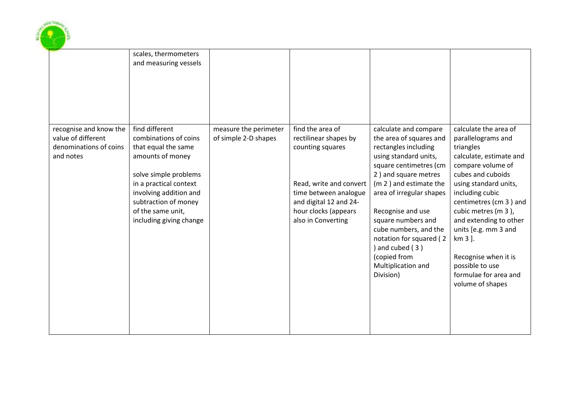

|                                                                                     | scales, thermometers<br>and measuring vessels                                                                                                                                                                                           |                                               |                                                                                                                                                                                           |                                                                                                                                                                                                                                                                                                                                                                              |                                                                                                                                                                                                                                                                                                                                                                                 |
|-------------------------------------------------------------------------------------|-----------------------------------------------------------------------------------------------------------------------------------------------------------------------------------------------------------------------------------------|-----------------------------------------------|-------------------------------------------------------------------------------------------------------------------------------------------------------------------------------------------|------------------------------------------------------------------------------------------------------------------------------------------------------------------------------------------------------------------------------------------------------------------------------------------------------------------------------------------------------------------------------|---------------------------------------------------------------------------------------------------------------------------------------------------------------------------------------------------------------------------------------------------------------------------------------------------------------------------------------------------------------------------------|
| recognise and know the<br>value of different<br>denominations of coins<br>and notes | find different<br>combinations of coins<br>that equal the same<br>amounts of money<br>solve simple problems<br>in a practical context<br>involving addition and<br>subtraction of money<br>of the same unit,<br>including giving change | measure the perimeter<br>of simple 2-D shapes | find the area of<br>rectilinear shapes by<br>counting squares<br>Read, write and convert<br>time between analogue<br>and digital 12 and 24-<br>hour clocks (appears<br>also in Converting | calculate and compare<br>the area of squares and<br>rectangles including<br>using standard units,<br>square centimetres (cm<br>2) and square metres<br>(m 2) and estimate the<br>area of irregular shapes<br>Recognise and use<br>square numbers and<br>cube numbers, and the<br>notation for squared (2<br>and cubed (3)<br>(copied from<br>Multiplication and<br>Division) | calculate the area of<br>parallelograms and<br>triangles<br>calculate, estimate and<br>compare volume of<br>cubes and cuboids<br>using standard units,<br>including cubic<br>centimetres (cm 3) and<br>cubic metres (m 3),<br>and extending to other<br>units [e.g. mm 3 and<br>km 3 ].<br>Recognise when it is<br>possible to use<br>formulae for area and<br>volume of shapes |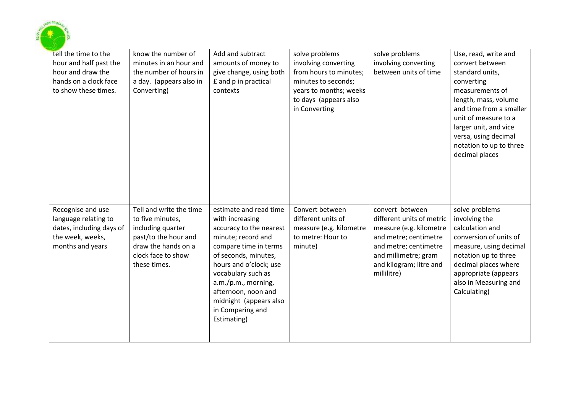

| tell the time to the<br>hour and half past the<br>hour and draw the<br>hands on a clock face<br>to show these times. | know the number of<br>minutes in an hour and<br>the number of hours in<br>a day. (appears also in<br>Converting)                                      | Add and subtract<br>amounts of money to<br>give change, using both<br>£ and p in practical<br>contexts                                                                                                                                                                                                 | solve problems<br>involving converting<br>from hours to minutes;<br>minutes to seconds;<br>years to months; weeks<br>to days (appears also<br>in Converting | solve problems<br>involving converting<br>between units of time                                                                                                                             | Use, read, write and<br>convert between<br>standard units,<br>converting<br>measurements of<br>length, mass, volume<br>and time from a smaller<br>unit of measure to a<br>larger unit, and vice<br>versa, using decimal<br>notation to up to three<br>decimal places |
|----------------------------------------------------------------------------------------------------------------------|-------------------------------------------------------------------------------------------------------------------------------------------------------|--------------------------------------------------------------------------------------------------------------------------------------------------------------------------------------------------------------------------------------------------------------------------------------------------------|-------------------------------------------------------------------------------------------------------------------------------------------------------------|---------------------------------------------------------------------------------------------------------------------------------------------------------------------------------------------|----------------------------------------------------------------------------------------------------------------------------------------------------------------------------------------------------------------------------------------------------------------------|
| Recognise and use<br>language relating to<br>dates, including days of<br>the week, weeks,<br>months and years        | Tell and write the time<br>to five minutes,<br>including quarter<br>past/to the hour and<br>draw the hands on a<br>clock face to show<br>these times. | estimate and read time<br>with increasing<br>accuracy to the nearest<br>minute; record and<br>compare time in terms<br>of seconds, minutes,<br>hours and o'clock; use<br>vocabulary such as<br>a.m./p.m., morning,<br>afternoon, noon and<br>midnight (appears also<br>in Comparing and<br>Estimating) | Convert between<br>different units of<br>measure (e.g. kilometre<br>to metre: Hour to<br>minute)                                                            | convert between<br>different units of metric<br>measure (e.g. kilometre<br>and metre; centimetre<br>and metre; centimetre<br>and millimetre; gram<br>and kilogram; litre and<br>millilitre) | solve problems<br>involving the<br>calculation and<br>conversion of units of<br>measure, using decimal<br>notation up to three<br>decimal places where<br>appropriate (appears<br>also in Measuring and<br>Calculating)                                              |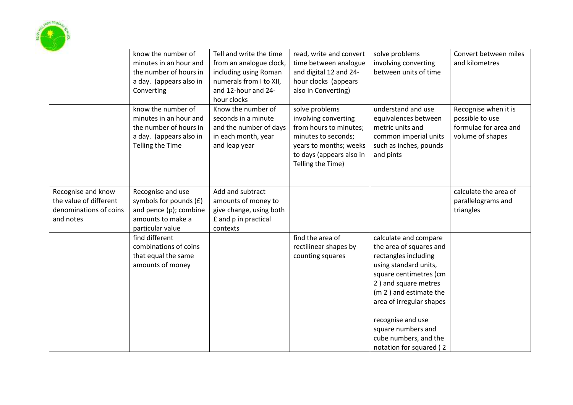

|                                                                                     | know the number of<br>minutes in an hour and<br>the number of hours in<br>a day. (appears also in<br>Converting       | Tell and write the time<br>from an analogue clock,<br>including using Roman<br>numerals from I to XII,<br>and 12-hour and 24-<br>hour clocks | read, write and convert<br>time between analogue<br>and digital 12 and 24-<br>hour clocks (appears<br>also in Converting)                                          | solve problems<br>involving converting<br>between units of time                                                                                                                                                                                                                                          | Convert between miles<br>and kilometres                                              |
|-------------------------------------------------------------------------------------|-----------------------------------------------------------------------------------------------------------------------|----------------------------------------------------------------------------------------------------------------------------------------------|--------------------------------------------------------------------------------------------------------------------------------------------------------------------|----------------------------------------------------------------------------------------------------------------------------------------------------------------------------------------------------------------------------------------------------------------------------------------------------------|--------------------------------------------------------------------------------------|
|                                                                                     | know the number of<br>minutes in an hour and<br>the number of hours in<br>a day. (appears also in<br>Telling the Time | Know the number of<br>seconds in a minute<br>and the number of days<br>in each month, year<br>and leap year                                  | solve problems<br>involving converting<br>from hours to minutes;<br>minutes to seconds;<br>years to months; weeks<br>to days (appears also in<br>Telling the Time) | understand and use<br>equivalences between<br>metric units and<br>common imperial units<br>such as inches, pounds<br>and pints                                                                                                                                                                           | Recognise when it is<br>possible to use<br>formulae for area and<br>volume of shapes |
| Recognise and know<br>the value of different<br>denominations of coins<br>and notes | Recognise and use<br>symbols for pounds (£)<br>and pence (p); combine<br>amounts to make a<br>particular value        | Add and subtract<br>amounts of money to<br>give change, using both<br>£ and p in practical<br>contexts                                       |                                                                                                                                                                    |                                                                                                                                                                                                                                                                                                          | calculate the area of<br>parallelograms and<br>triangles                             |
|                                                                                     | find different<br>combinations of coins<br>that equal the same<br>amounts of money                                    |                                                                                                                                              | find the area of<br>rectilinear shapes by<br>counting squares                                                                                                      | calculate and compare<br>the area of squares and<br>rectangles including<br>using standard units,<br>square centimetres (cm<br>2) and square metres<br>(m 2) and estimate the<br>area of irregular shapes<br>recognise and use<br>square numbers and<br>cube numbers, and the<br>notation for squared (2 |                                                                                      |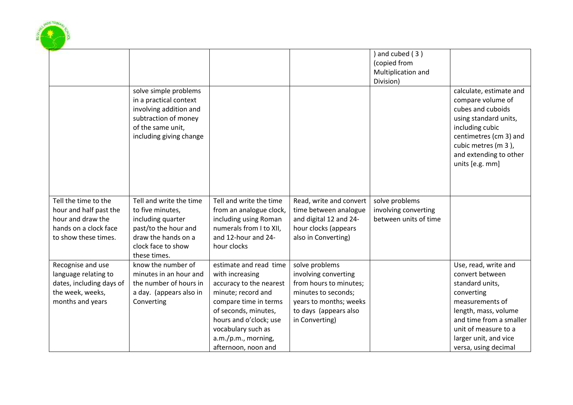

|                                             |                                                                                                                                                   |                                                  |                                                 | and cubed (3)<br>(copied from<br>Multiplication and<br>Division) |                                                                                                                                                                                                             |
|---------------------------------------------|---------------------------------------------------------------------------------------------------------------------------------------------------|--------------------------------------------------|-------------------------------------------------|------------------------------------------------------------------|-------------------------------------------------------------------------------------------------------------------------------------------------------------------------------------------------------------|
|                                             | solve simple problems<br>in a practical context<br>involving addition and<br>subtraction of money<br>of the same unit,<br>including giving change |                                                  |                                                 |                                                                  | calculate, estimate and<br>compare volume of<br>cubes and cuboids<br>using standard units,<br>including cubic<br>centimetres (cm 3) and<br>cubic metres (m 3),<br>and extending to other<br>units [e.g. mm] |
| Tell the time to the                        | Tell and write the time                                                                                                                           | Tell and write the time                          | Read, write and convert                         | solve problems                                                   |                                                                                                                                                                                                             |
| hour and half past the<br>hour and draw the | to five minutes,<br>including quarter                                                                                                             | from an analogue clock,<br>including using Roman | time between analogue<br>and digital 12 and 24- | involving converting<br>between units of time                    |                                                                                                                                                                                                             |
| hands on a clock face                       | past/to the hour and                                                                                                                              | numerals from I to XII,                          | hour clocks (appears                            |                                                                  |                                                                                                                                                                                                             |
| to show these times.                        | draw the hands on a                                                                                                                               | and 12-hour and 24-                              | also in Converting)                             |                                                                  |                                                                                                                                                                                                             |
|                                             | clock face to show                                                                                                                                | hour clocks                                      |                                                 |                                                                  |                                                                                                                                                                                                             |
|                                             | these times.                                                                                                                                      |                                                  |                                                 |                                                                  |                                                                                                                                                                                                             |
| Recognise and use                           | know the number of                                                                                                                                | estimate and read time                           | solve problems                                  |                                                                  | Use, read, write and                                                                                                                                                                                        |
| language relating to                        | minutes in an hour and                                                                                                                            | with increasing                                  | involving converting                            |                                                                  | convert between                                                                                                                                                                                             |
| dates, including days of                    | the number of hours in                                                                                                                            | accuracy to the nearest                          | from hours to minutes;                          |                                                                  | standard units,                                                                                                                                                                                             |
| the week, weeks,                            | a day. (appears also in                                                                                                                           | minute; record and                               | minutes to seconds;                             |                                                                  | converting                                                                                                                                                                                                  |
| months and years                            | Converting                                                                                                                                        | compare time in terms                            | years to months; weeks                          |                                                                  | measurements of                                                                                                                                                                                             |
|                                             |                                                                                                                                                   | of seconds, minutes,                             | to days (appears also                           |                                                                  | length, mass, volume                                                                                                                                                                                        |
|                                             |                                                                                                                                                   | hours and o'clock; use                           | in Converting)                                  |                                                                  | and time from a smaller                                                                                                                                                                                     |
|                                             |                                                                                                                                                   | vocabulary such as                               |                                                 |                                                                  | unit of measure to a                                                                                                                                                                                        |
|                                             |                                                                                                                                                   | a.m./p.m., morning,                              |                                                 |                                                                  | larger unit, and vice                                                                                                                                                                                       |
|                                             |                                                                                                                                                   | afternoon, noon and                              |                                                 |                                                                  | versa, using decimal                                                                                                                                                                                        |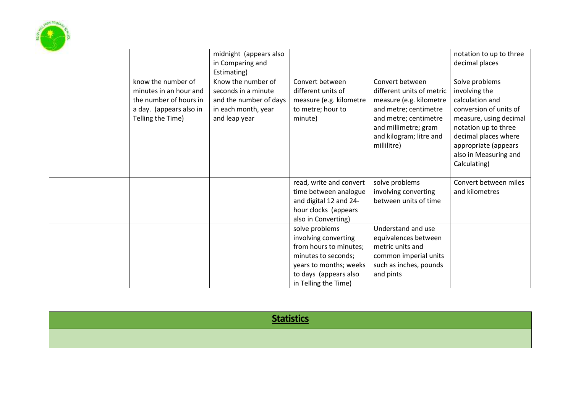

|  |                                                                        | midnight (appears also<br>in Comparing and<br>Estimating)      |                                                                                                                                                                    |                                                                                                                                             | notation to up to three<br>decimal places                                                                                                                                            |
|--|------------------------------------------------------------------------|----------------------------------------------------------------|--------------------------------------------------------------------------------------------------------------------------------------------------------------------|---------------------------------------------------------------------------------------------------------------------------------------------|--------------------------------------------------------------------------------------------------------------------------------------------------------------------------------------|
|  | know the number of<br>minutes in an hour and                           | Know the number of<br>seconds in a minute                      | Convert between<br>different units of                                                                                                                              | Convert between<br>different units of metric                                                                                                | Solve problems<br>involving the                                                                                                                                                      |
|  | the number of hours in<br>a day. (appears also in<br>Telling the Time) | and the number of days<br>in each month, year<br>and leap year | measure (e.g. kilometre<br>to metre; hour to<br>minute)                                                                                                            | measure (e.g. kilometre<br>and metre; centimetre<br>and metre; centimetre<br>and millimetre; gram<br>and kilogram; litre and<br>millilitre) | calculation and<br>conversion of units of<br>measure, using decimal<br>notation up to three<br>decimal places where<br>appropriate (appears<br>also in Measuring and<br>Calculating) |
|  |                                                                        |                                                                |                                                                                                                                                                    |                                                                                                                                             |                                                                                                                                                                                      |
|  |                                                                        |                                                                | read, write and convert<br>time between analogue<br>and digital 12 and 24-<br>hour clocks (appears<br>also in Converting)                                          | solve problems<br>involving converting<br>between units of time                                                                             | Convert between miles<br>and kilometres                                                                                                                                              |
|  |                                                                        |                                                                | solve problems<br>involving converting<br>from hours to minutes;<br>minutes to seconds;<br>years to months; weeks<br>to days (appears also<br>in Telling the Time) | Understand and use<br>equivalences between<br>metric units and<br>common imperial units<br>such as inches, pounds<br>and pints              |                                                                                                                                                                                      |